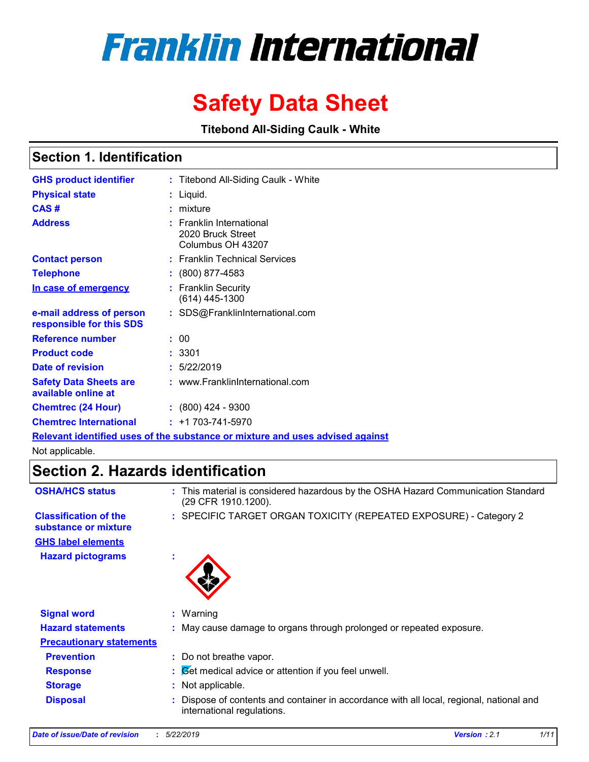# **Franklin International**

# **Safety Data Sheet**

**Titebond All-Siding Caulk - White**

### **Section 1. Identification**

| <b>GHS product identifier</b>                        | : Titebond All-Siding Caulk - White                                           |
|------------------------------------------------------|-------------------------------------------------------------------------------|
| <b>Physical state</b>                                | : Liquid.                                                                     |
| CAS#                                                 | : mixture                                                                     |
| <b>Address</b>                                       | $:$ Franklin International<br>2020 Bruck Street<br>Columbus OH 43207          |
| <b>Contact person</b>                                | : Franklin Technical Services                                                 |
| <b>Telephone</b>                                     | $: (800) 877 - 4583$                                                          |
| In case of emergency                                 | : Franklin Security<br>$(614)$ 445-1300                                       |
| e-mail address of person<br>responsible for this SDS | : SDS@FranklinInternational.com                                               |
| <b>Reference number</b>                              | : 00                                                                          |
| <b>Product code</b>                                  | : 3301                                                                        |
| Date of revision                                     | : 5/22/2019                                                                   |
| <b>Safety Data Sheets are</b><br>available online at | : www.FranklinInternational.com                                               |
| <b>Chemtrec (24 Hour)</b>                            | $: (800)$ 424 - 9300                                                          |
| <b>Chemtrec International</b>                        | $: +1703 - 741 - 5970$                                                        |
|                                                      | Relevant identified uses of the substance or mixture and uses advised against |

Not applicable.

# **Section 2. Hazards identification**

| <b>OSHA/HCS status</b>                               | This material is considered hazardous by the OSHA Hazard Communication Standard<br>÷.<br>(29 CFR 1910.1200).         |
|------------------------------------------------------|----------------------------------------------------------------------------------------------------------------------|
| <b>Classification of the</b><br>substance or mixture | : SPECIFIC TARGET ORGAN TOXICITY (REPEATED EXPOSURE) - Category 2                                                    |
| <b>GHS label elements</b>                            |                                                                                                                      |
| <b>Hazard pictograms</b>                             | ٠                                                                                                                    |
| <b>Signal word</b>                                   | $:$ Warning                                                                                                          |
| <b>Hazard statements</b>                             | : May cause damage to organs through prolonged or repeated exposure.                                                 |
| <b>Precautionary statements</b>                      |                                                                                                                      |
| <b>Prevention</b>                                    | : Do not breathe vapor.                                                                                              |
| <b>Response</b>                                      | $\mathcal{B}$ $\mathcal{B}$ et medical advice or attention if you feel unwell.                                       |
| <b>Storage</b>                                       | Not applicable.<br>÷.                                                                                                |
| <b>Disposal</b>                                      | Dispose of contents and container in accordance with all local, regional, national and<br>international regulations. |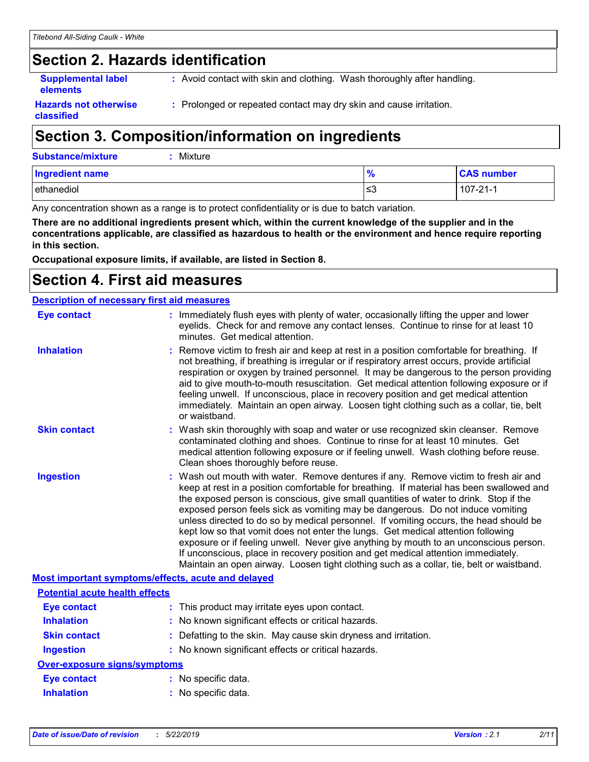# **Section 2. Hazards identification**

**Supplemental label elements**

**:** Avoid contact with skin and clothing. Wash thoroughly after handling.

**Hazards not otherwise classified**

**:** Prolonged or repeated contact may dry skin and cause irritation.

# **Section 3. Composition/information on ingredients**

| <b>Substance/mixture</b> |  | $:$ Mixture |
|--------------------------|--|-------------|
|--------------------------|--|-------------|

| <b>Ingredient name</b> |            | <b>CAS number</b> |
|------------------------|------------|-------------------|
| ethanediol             | برر<br>ت≤ا | 107-21-1          |

Any concentration shown as a range is to protect confidentiality or is due to batch variation.

**There are no additional ingredients present which, within the current knowledge of the supplier and in the concentrations applicable, are classified as hazardous to health or the environment and hence require reporting in this section.**

**Occupational exposure limits, if available, are listed in Section 8.**

# **Section 4. First aid measures**

| <b>Description of necessary first aid measures</b> |  |                                                                                                                                                                                                                                                                                                                                                                                                                                                                                                                                                                                                                                                                                                                                                                                                                   |  |
|----------------------------------------------------|--|-------------------------------------------------------------------------------------------------------------------------------------------------------------------------------------------------------------------------------------------------------------------------------------------------------------------------------------------------------------------------------------------------------------------------------------------------------------------------------------------------------------------------------------------------------------------------------------------------------------------------------------------------------------------------------------------------------------------------------------------------------------------------------------------------------------------|--|
| <b>Eye contact</b>                                 |  | : Immediately flush eyes with plenty of water, occasionally lifting the upper and lower<br>eyelids. Check for and remove any contact lenses. Continue to rinse for at least 10<br>minutes. Get medical attention.                                                                                                                                                                                                                                                                                                                                                                                                                                                                                                                                                                                                 |  |
| <b>Inhalation</b>                                  |  | : Remove victim to fresh air and keep at rest in a position comfortable for breathing. If<br>not breathing, if breathing is irregular or if respiratory arrest occurs, provide artificial<br>respiration or oxygen by trained personnel. It may be dangerous to the person providing<br>aid to give mouth-to-mouth resuscitation. Get medical attention following exposure or if<br>feeling unwell. If unconscious, place in recovery position and get medical attention<br>immediately. Maintain an open airway. Loosen tight clothing such as a collar, tie, belt<br>or waistband.                                                                                                                                                                                                                              |  |
| <b>Skin contact</b>                                |  | : Wash skin thoroughly with soap and water or use recognized skin cleanser. Remove<br>contaminated clothing and shoes. Continue to rinse for at least 10 minutes. Get<br>medical attention following exposure or if feeling unwell. Wash clothing before reuse.<br>Clean shoes thoroughly before reuse.                                                                                                                                                                                                                                                                                                                                                                                                                                                                                                           |  |
| <b>Ingestion</b>                                   |  | : Wash out mouth with water. Remove dentures if any. Remove victim to fresh air and<br>keep at rest in a position comfortable for breathing. If material has been swallowed and<br>the exposed person is conscious, give small quantities of water to drink. Stop if the<br>exposed person feels sick as vomiting may be dangerous. Do not induce vomiting<br>unless directed to do so by medical personnel. If vomiting occurs, the head should be<br>kept low so that vomit does not enter the lungs. Get medical attention following<br>exposure or if feeling unwell. Never give anything by mouth to an unconscious person.<br>If unconscious, place in recovery position and get medical attention immediately.<br>Maintain an open airway. Loosen tight clothing such as a collar, tie, belt or waistband. |  |
| Most important symptoms/effects, acute and delayed |  |                                                                                                                                                                                                                                                                                                                                                                                                                                                                                                                                                                                                                                                                                                                                                                                                                   |  |
| <b>Potential acute health effects</b>              |  |                                                                                                                                                                                                                                                                                                                                                                                                                                                                                                                                                                                                                                                                                                                                                                                                                   |  |
| <b>Eye contact</b>                                 |  | : This product may irritate eyes upon contact.                                                                                                                                                                                                                                                                                                                                                                                                                                                                                                                                                                                                                                                                                                                                                                    |  |
| <b>Inhalation</b>                                  |  | : No known significant effects or critical hazards.                                                                                                                                                                                                                                                                                                                                                                                                                                                                                                                                                                                                                                                                                                                                                               |  |
| <b>Skin contact</b>                                |  | : Defatting to the skin. May cause skin dryness and irritation.                                                                                                                                                                                                                                                                                                                                                                                                                                                                                                                                                                                                                                                                                                                                                   |  |
| <b>Ingestion</b>                                   |  | : No known significant effects or critical hazards.                                                                                                                                                                                                                                                                                                                                                                                                                                                                                                                                                                                                                                                                                                                                                               |  |
| <b>Over-exposure signs/symptoms</b>                |  |                                                                                                                                                                                                                                                                                                                                                                                                                                                                                                                                                                                                                                                                                                                                                                                                                   |  |
| <b>Eye contact</b>                                 |  | : No specific data.                                                                                                                                                                                                                                                                                                                                                                                                                                                                                                                                                                                                                                                                                                                                                                                               |  |
| <b>Inhalation</b>                                  |  | : No specific data.                                                                                                                                                                                                                                                                                                                                                                                                                                                                                                                                                                                                                                                                                                                                                                                               |  |
|                                                    |  |                                                                                                                                                                                                                                                                                                                                                                                                                                                                                                                                                                                                                                                                                                                                                                                                                   |  |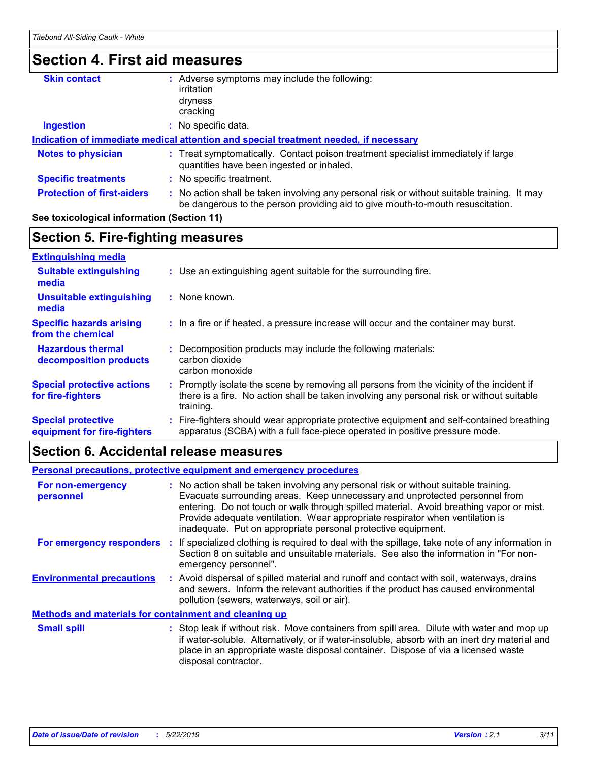## **Section 4. First aid measures**

| <b>Skin contact</b>               | Adverse symptoms may include the following:                                                                                                                                   |  |
|-----------------------------------|-------------------------------------------------------------------------------------------------------------------------------------------------------------------------------|--|
|                                   | irritation                                                                                                                                                                    |  |
|                                   | dryness                                                                                                                                                                       |  |
|                                   | cracking                                                                                                                                                                      |  |
| <b>Ingestion</b>                  | No specific data.                                                                                                                                                             |  |
|                                   | Indication of immediate medical attention and special treatment needed, if necessary                                                                                          |  |
| <b>Notes to physician</b>         | : Treat symptomatically. Contact poison treatment specialist immediately if large<br>quantities have been ingested or inhaled.                                                |  |
| <b>Specific treatments</b>        | : No specific treatment.                                                                                                                                                      |  |
| <b>Protection of first-aiders</b> | : No action shall be taken involving any personal risk or without suitable training. It may<br>be dangerous to the person providing aid to give mouth-to-mouth resuscitation. |  |
|                                   |                                                                                                                                                                               |  |

#### **See toxicological information (Section 11)**

#### **Section 5. Fire-fighting measures**

| <b>Extinguishing media</b>                               |                                                                                                                                                                                                   |
|----------------------------------------------------------|---------------------------------------------------------------------------------------------------------------------------------------------------------------------------------------------------|
| <b>Suitable extinguishing</b><br>media                   | : Use an extinguishing agent suitable for the surrounding fire.                                                                                                                                   |
| <b>Unsuitable extinguishing</b><br>media                 | : None known.                                                                                                                                                                                     |
| <b>Specific hazards arising</b><br>from the chemical     | : In a fire or if heated, a pressure increase will occur and the container may burst.                                                                                                             |
| <b>Hazardous thermal</b><br>decomposition products       | Decomposition products may include the following materials:<br>carbon dioxide<br>carbon monoxide                                                                                                  |
| <b>Special protective actions</b><br>for fire-fighters   | Promptly isolate the scene by removing all persons from the vicinity of the incident if<br>there is a fire. No action shall be taken involving any personal risk or without suitable<br>training. |
| <b>Special protective</b><br>equipment for fire-fighters | : Fire-fighters should wear appropriate protective equipment and self-contained breathing<br>apparatus (SCBA) with a full face-piece operated in positive pressure mode.                          |

### **Section 6. Accidental release measures**

#### **Environmental precautions Personal precautions, protective equipment and emergency procedures :** Avoid dispersal of spilled material and runoff and contact with soil, waterways, drains **:** No action shall be taken involving any personal risk or without suitable training. Evacuate surrounding areas. Keep unnecessary and unprotected personnel from entering. Do not touch or walk through spilled material. Avoid breathing vapor or mist. Provide adequate ventilation. Wear appropriate respirator when ventilation is inadequate. Put on appropriate personal protective equipment. and sewers. Inform the relevant authorities if the product has caused environmental pollution (sewers, waterways, soil or air). : Stop leak if without risk. Move containers from spill area. Dilute with water and mop up if water-soluble. Alternatively, or if water-insoluble, absorb with an inert dry material and place in an appropriate waste disposal container. Dispose of via a licensed waste disposal contractor. **Small spill : Methods and materials for containment and cleaning up For non-emergency personnel For emergency responders :** If specialized clothing is required to deal with the spillage, take note of any information in Section 8 on suitable and unsuitable materials. See also the information in "For nonemergency personnel".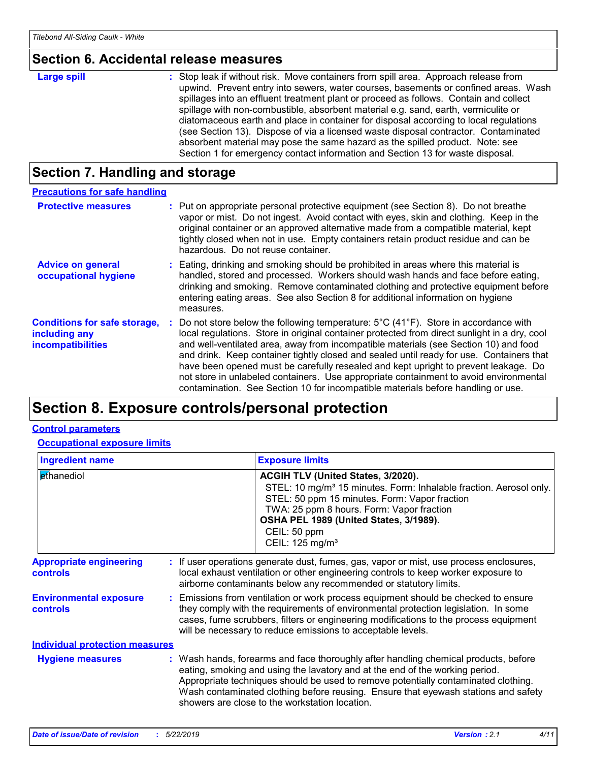# **Section 6. Accidental release measures**

# **Section 7. Handling and storage**

| <b>Precautions for safe handling</b>                                             |                                                                                                                                                                                                                                                                                                                                                                                                                                                                                                                                                                                                                                                                   |
|----------------------------------------------------------------------------------|-------------------------------------------------------------------------------------------------------------------------------------------------------------------------------------------------------------------------------------------------------------------------------------------------------------------------------------------------------------------------------------------------------------------------------------------------------------------------------------------------------------------------------------------------------------------------------------------------------------------------------------------------------------------|
| <b>Protective measures</b>                                                       | : Put on appropriate personal protective equipment (see Section 8). Do not breathe<br>vapor or mist. Do not ingest. Avoid contact with eyes, skin and clothing. Keep in the<br>original container or an approved alternative made from a compatible material, kept<br>tightly closed when not in use. Empty containers retain product residue and can be<br>hazardous. Do not reuse container.                                                                                                                                                                                                                                                                    |
| <b>Advice on general</b><br>occupational hygiene                                 | Eating, drinking and smoking should be prohibited in areas where this material is<br>handled, stored and processed. Workers should wash hands and face before eating,<br>drinking and smoking. Remove contaminated clothing and protective equipment before<br>entering eating areas. See also Section 8 for additional information on hygiene<br>measures.                                                                                                                                                                                                                                                                                                       |
| <b>Conditions for safe storage,</b><br>including any<br><b>incompatibilities</b> | Do not store below the following temperature: $5^{\circ}$ C (41 <sup>°</sup> F). Store in accordance with<br>local regulations. Store in original container protected from direct sunlight in a dry, cool<br>and well-ventilated area, away from incompatible materials (see Section 10) and food<br>and drink. Keep container tightly closed and sealed until ready for use. Containers that<br>have been opened must be carefully resealed and kept upright to prevent leakage. Do<br>not store in unlabeled containers. Use appropriate containment to avoid environmental<br>contamination. See Section 10 for incompatible materials before handling or use. |

# **Section 8. Exposure controls/personal protection**

#### **Control parameters**

**Occupational exposure limits**

| <b>Ingredient name</b>                            |  | <b>Exposure limits</b>                                                                                                                                                                                                                                                                                                                                                                            |  |
|---------------------------------------------------|--|---------------------------------------------------------------------------------------------------------------------------------------------------------------------------------------------------------------------------------------------------------------------------------------------------------------------------------------------------------------------------------------------------|--|
| ethanediol                                        |  | ACGIH TLV (United States, 3/2020).<br>STEL: 10 mg/m <sup>3</sup> 15 minutes. Form: Inhalable fraction. Aerosol only.<br>STEL: 50 ppm 15 minutes. Form: Vapor fraction<br>TWA: 25 ppm 8 hours. Form: Vapor fraction<br>OSHA PEL 1989 (United States, 3/1989).<br>CEIL: 50 ppm<br>CEIL: 125 mg/m <sup>3</sup>                                                                                       |  |
| <b>Appropriate engineering</b><br><b>controls</b> |  | : If user operations generate dust, fumes, gas, vapor or mist, use process enclosures,<br>local exhaust ventilation or other engineering controls to keep worker exposure to<br>airborne contaminants below any recommended or statutory limits.                                                                                                                                                  |  |
| <b>Environmental exposure</b><br><b>controls</b>  |  | : Emissions from ventilation or work process equipment should be checked to ensure<br>they comply with the requirements of environmental protection legislation. In some<br>cases, fume scrubbers, filters or engineering modifications to the process equipment<br>will be necessary to reduce emissions to acceptable levels.                                                                   |  |
| <b>Individual protection measures</b>             |  |                                                                                                                                                                                                                                                                                                                                                                                                   |  |
| <b>Hygiene measures</b>                           |  | : Wash hands, forearms and face thoroughly after handling chemical products, before<br>eating, smoking and using the lavatory and at the end of the working period.<br>Appropriate techniques should be used to remove potentially contaminated clothing.<br>Wash contaminated clothing before reusing. Ensure that eyewash stations and safety<br>showers are close to the workstation location. |  |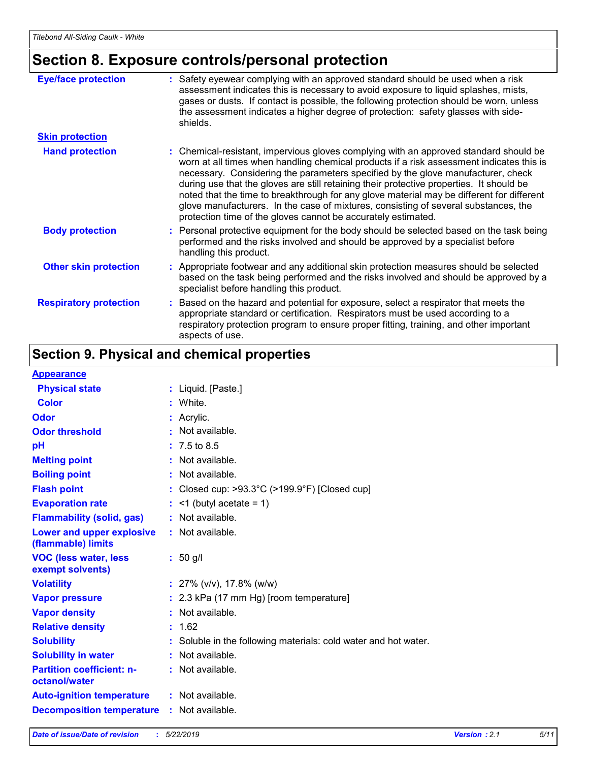# **Section 8. Exposure controls/personal protection**

| <b>Eye/face protection</b>    | : Safety eyewear complying with an approved standard should be used when a risk<br>assessment indicates this is necessary to avoid exposure to liquid splashes, mists,<br>gases or dusts. If contact is possible, the following protection should be worn, unless<br>the assessment indicates a higher degree of protection: safety glasses with side-<br>shields.                                                                                                                                                                                                                                                     |
|-------------------------------|------------------------------------------------------------------------------------------------------------------------------------------------------------------------------------------------------------------------------------------------------------------------------------------------------------------------------------------------------------------------------------------------------------------------------------------------------------------------------------------------------------------------------------------------------------------------------------------------------------------------|
| <b>Skin protection</b>        |                                                                                                                                                                                                                                                                                                                                                                                                                                                                                                                                                                                                                        |
| <b>Hand protection</b>        | : Chemical-resistant, impervious gloves complying with an approved standard should be<br>worn at all times when handling chemical products if a risk assessment indicates this is<br>necessary. Considering the parameters specified by the glove manufacturer, check<br>during use that the gloves are still retaining their protective properties. It should be<br>noted that the time to breakthrough for any glove material may be different for different<br>glove manufacturers. In the case of mixtures, consisting of several substances, the<br>protection time of the gloves cannot be accurately estimated. |
| <b>Body protection</b>        | : Personal protective equipment for the body should be selected based on the task being<br>performed and the risks involved and should be approved by a specialist before<br>handling this product.                                                                                                                                                                                                                                                                                                                                                                                                                    |
| <b>Other skin protection</b>  | : Appropriate footwear and any additional skin protection measures should be selected<br>based on the task being performed and the risks involved and should be approved by a<br>specialist before handling this product.                                                                                                                                                                                                                                                                                                                                                                                              |
| <b>Respiratory protection</b> | : Based on the hazard and potential for exposure, select a respirator that meets the<br>appropriate standard or certification. Respirators must be used according to a<br>respiratory protection program to ensure proper fitting, training, and other important<br>aspects of use.                                                                                                                                                                                                                                                                                                                                    |

# **Section 9. Physical and chemical properties**

#### **Appearance**

| <u> Друсигинск</u>                                |    |                                                                  |
|---------------------------------------------------|----|------------------------------------------------------------------|
| <b>Physical state</b>                             |    | : Liquid. [Paste.]                                               |
| <b>Color</b>                                      |    | White.                                                           |
| Odor                                              |    | Acrylic.                                                         |
| <b>Odor threshold</b>                             |    | Not available.                                                   |
| pH                                                |    | 7.5 to 8.5                                                       |
| <b>Melting point</b>                              | ÷. | Not available.                                                   |
| <b>Boiling point</b>                              |    | : Not available.                                                 |
| <b>Flash point</b>                                |    | Closed cup: $>93.3^{\circ}$ C ( $>199.9^{\circ}$ F) [Closed cup] |
| <b>Evaporation rate</b>                           |    | $:$ <1 (butyl acetate = 1)                                       |
| <b>Flammability (solid, gas)</b>                  |    | : Not available.                                                 |
| Lower and upper explosive<br>(flammable) limits   |    | $:$ Not available.                                               |
| <b>VOC (less water, less</b><br>exempt solvents)  |    | $: 50$ g/l                                                       |
| <b>Volatility</b>                                 |    | $: 27\%$ (v/v), 17.8% (w/w)                                      |
| <b>Vapor pressure</b>                             |    | : 2.3 kPa (17 mm Hg) [room temperature]                          |
| <b>Vapor density</b>                              |    | : Not available.                                                 |
| <b>Relative density</b>                           |    | 1.62                                                             |
| <b>Solubility</b>                                 |    | Soluble in the following materials: cold water and hot water.    |
| <b>Solubility in water</b>                        |    | : Not available.                                                 |
| <b>Partition coefficient: n-</b><br>octanol/water |    | $:$ Not available.                                               |
| <b>Auto-ignition temperature</b>                  |    | : Not available.                                                 |
| <b>Decomposition temperature</b>                  |    | : Not available.                                                 |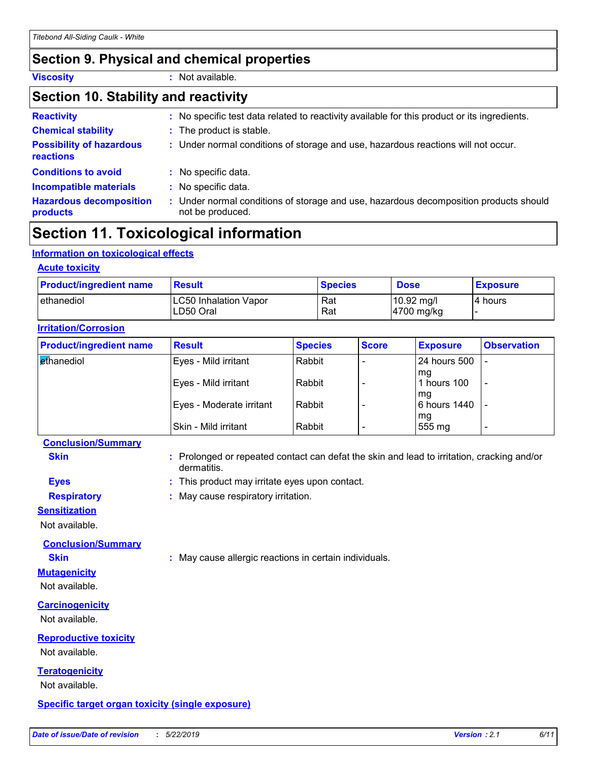### **Section 9. Physical and chemical properties**

**Viscosity :** Not available.

### **Section 10. Stability and reactivity**

| <b>Reactivity</b>                            | : No specific test data related to reactivity available for this product or its ingredients.              |
|----------------------------------------------|-----------------------------------------------------------------------------------------------------------|
| <b>Chemical stability</b>                    | : The product is stable.                                                                                  |
| <b>Possibility of hazardous</b><br>reactions | : Under normal conditions of storage and use, hazardous reactions will not occur.                         |
| <b>Conditions to avoid</b>                   | : No specific data.                                                                                       |
| <b>Incompatible materials</b>                | : No specific data.                                                                                       |
| <b>Hazardous decomposition</b><br>products   | : Under normal conditions of storage and use, hazardous decomposition products should<br>not be produced. |

# **Section 11. Toxicological information**

#### **Information on toxicological effects**

| <b>Product/ingredient name</b> | <b>Result</b>                             | <b>Species</b> | <b>Dose</b>                            | <b>Exposure</b> |
|--------------------------------|-------------------------------------------|----------------|----------------------------------------|-----------------|
| l ethanediol                   | <b>LC50 Inhalation Vapor</b><br>LD50 Oral | Rat<br>Rat     | $10.92$ mg/l<br>$ 4700 \text{ mg/kg} $ | I4 hours        |

| <b>Product/ingredient name</b> | <b>Result</b>            | <b>Species</b> | <b>Score</b> | <b>Exposure</b>    | <b>Observation</b>       |
|--------------------------------|--------------------------|----------------|--------------|--------------------|--------------------------|
| <b>ethanediol</b>              | Eyes - Mild irritant     | Rabbit         |              | l 24 hours 500     |                          |
|                                | Eyes - Mild irritant     | Rabbit         |              | mg<br>1 hours 100  | $\overline{\phantom{0}}$ |
|                                | Eyes - Moderate irritant | Rabbit         |              | mg<br>6 hours 1440 |                          |
|                                | Skin - Mild irritant     | Rabbit         |              | mg<br>555 mg       | $\overline{\phantom{0}}$ |

#### **Conclusion/Summary**

**Skin Example 20 :** Prolonged or repeated contact can defat the skin and lead to irritation, cracking and/or dermatitis.

- **Eyes :** This product may irritate eyes upon contact.
- **Respiratory :** May cause respiratory irritation.

#### **Sensitization**

Not available.

**Conclusion/Summary**

**Skin :** May cause allergic reactions in certain individuals.

#### **Mutagenicity** Not available.

**Carcinogenicity**

Not available.

### **Reproductive toxicity**

Not available.

### **Teratogenicity**

Not available.

#### **Specific target organ toxicity (single exposure)**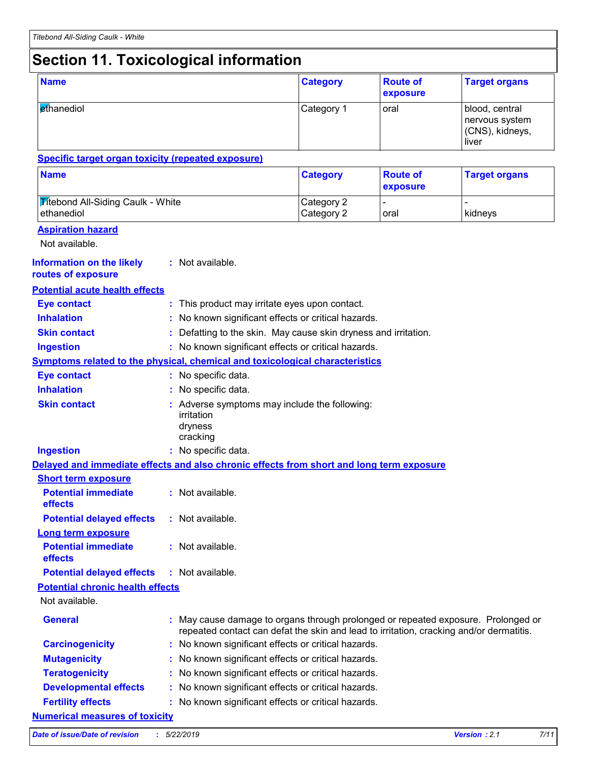# **Section 11. Toxicological information**

| <b>Name</b>                                                                              |  |                                                                                                                                                                              | <b>Category</b>          | <b>Route of</b><br>exposure | <b>Target organs</b>                                         |  |  |
|------------------------------------------------------------------------------------------|--|------------------------------------------------------------------------------------------------------------------------------------------------------------------------------|--------------------------|-----------------------------|--------------------------------------------------------------|--|--|
| ethanediol                                                                               |  |                                                                                                                                                                              | Category 1               | oral                        | blood, central<br>nervous system<br>(CNS), kidneys,<br>liver |  |  |
| <b>Specific target organ toxicity (repeated exposure)</b>                                |  |                                                                                                                                                                              |                          |                             |                                                              |  |  |
| <b>Name</b>                                                                              |  |                                                                                                                                                                              | <b>Category</b>          | <b>Route of</b><br>exposure | <b>Target organs</b>                                         |  |  |
| <b>Titebond All-Siding Caulk - White</b><br>ethanediol                                   |  |                                                                                                                                                                              | Category 2<br>Category 2 | oral                        | kidneys                                                      |  |  |
| <b>Aspiration hazard</b><br>Not available.                                               |  |                                                                                                                                                                              |                          |                             |                                                              |  |  |
| <b>Information on the likely</b><br>routes of exposure                                   |  | : Not available.                                                                                                                                                             |                          |                             |                                                              |  |  |
| <b>Potential acute health effects</b>                                                    |  |                                                                                                                                                                              |                          |                             |                                                              |  |  |
| <b>Eye contact</b>                                                                       |  | : This product may irritate eyes upon contact.                                                                                                                               |                          |                             |                                                              |  |  |
| <b>Inhalation</b>                                                                        |  | No known significant effects or critical hazards.                                                                                                                            |                          |                             |                                                              |  |  |
| <b>Skin contact</b>                                                                      |  | Defatting to the skin. May cause skin dryness and irritation.                                                                                                                |                          |                             |                                                              |  |  |
| <b>Ingestion</b>                                                                         |  | : No known significant effects or critical hazards.                                                                                                                          |                          |                             |                                                              |  |  |
| <b>Symptoms related to the physical, chemical and toxicological characteristics</b>      |  |                                                                                                                                                                              |                          |                             |                                                              |  |  |
| <b>Eye contact</b>                                                                       |  | : No specific data.                                                                                                                                                          |                          |                             |                                                              |  |  |
| <b>Inhalation</b>                                                                        |  | No specific data.                                                                                                                                                            |                          |                             |                                                              |  |  |
| <b>Skin contact</b>                                                                      |  | : Adverse symptoms may include the following:<br>irritation<br>dryness<br>cracking                                                                                           |                          |                             |                                                              |  |  |
| <b>Ingestion</b>                                                                         |  | : No specific data.                                                                                                                                                          |                          |                             |                                                              |  |  |
| Delayed and immediate effects and also chronic effects from short and long term exposure |  |                                                                                                                                                                              |                          |                             |                                                              |  |  |
| <b>Short term exposure</b>                                                               |  |                                                                                                                                                                              |                          |                             |                                                              |  |  |
| <b>Potential immediate</b><br>effects                                                    |  | : Not available.                                                                                                                                                             |                          |                             |                                                              |  |  |
| <b>Potential delayed effects</b>                                                         |  | : Not available.                                                                                                                                                             |                          |                             |                                                              |  |  |
| <b>Long term exposure</b>                                                                |  |                                                                                                                                                                              |                          |                             |                                                              |  |  |
| <b>Potential immediate</b><br>effects                                                    |  | : Not available.                                                                                                                                                             |                          |                             |                                                              |  |  |
| <b>Potential delayed effects</b>                                                         |  | : Not available.                                                                                                                                                             |                          |                             |                                                              |  |  |
| <b>Potential chronic health effects</b>                                                  |  |                                                                                                                                                                              |                          |                             |                                                              |  |  |
| Not available.                                                                           |  |                                                                                                                                                                              |                          |                             |                                                              |  |  |
| <b>General</b>                                                                           |  | : May cause damage to organs through prolonged or repeated exposure. Prolonged or<br>repeated contact can defat the skin and lead to irritation, cracking and/or dermatitis. |                          |                             |                                                              |  |  |
| <b>Carcinogenicity</b>                                                                   |  | : No known significant effects or critical hazards.                                                                                                                          |                          |                             |                                                              |  |  |
| <b>Mutagenicity</b>                                                                      |  | No known significant effects or critical hazards.                                                                                                                            |                          |                             |                                                              |  |  |
| <b>Teratogenicity</b>                                                                    |  | No known significant effects or critical hazards.                                                                                                                            |                          |                             |                                                              |  |  |
| <b>Developmental effects</b>                                                             |  | No known significant effects or critical hazards.                                                                                                                            |                          |                             |                                                              |  |  |
| <b>Fertility effects</b>                                                                 |  | No known significant effects or critical hazards.                                                                                                                            |                          |                             |                                                              |  |  |
| <b>Numerical measures of toxicity</b>                                                    |  |                                                                                                                                                                              |                          |                             |                                                              |  |  |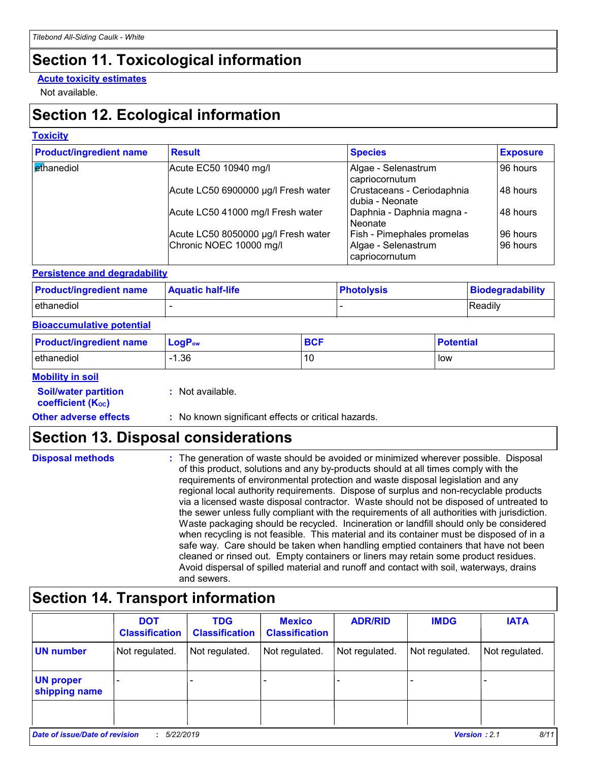# **Section 11. Toxicological information**

#### **Acute toxicity estimates**

Not available.

# **Section 12. Ecological information**

#### **Toxicity**

| <b>Product/ingredient name</b> | <b>Result</b>                       | <b>Species</b>                                | <b>Exposure</b> |
|--------------------------------|-------------------------------------|-----------------------------------------------|-----------------|
| ethanediol                     | Acute EC50 10940 mg/l               | Algae - Selenastrum<br>capriocornutum         | 96 hours        |
|                                | Acute LC50 6900000 µg/l Fresh water | Crustaceans - Ceriodaphnia<br>dubia - Neonate | 48 hours        |
|                                | Acute LC50 41000 mg/l Fresh water   | Daphnia - Daphnia magna -<br>Neonate          | 48 hours        |
|                                | Acute LC50 8050000 µg/l Fresh water | Fish - Pimephales promelas                    | 96 hours        |
|                                | Chronic NOEC 10000 mg/l             | Algae - Selenastrum<br>capriocornutum         | 96 hours        |

#### **Persistence and degradability**

| <b>Product/ingredient name</b> | <b>Aquatic half-life</b> | <b>Photolysis</b> | Biodegradability |
|--------------------------------|--------------------------|-------------------|------------------|
| ethanediol                     |                          |                   | Readily          |

#### **Bioaccumulative potential**

| <b>Product/ingredient name</b> | $LogP_{ow}$ | <b>BCL</b><br>ov. | <b>Potential</b> |
|--------------------------------|-------------|-------------------|------------------|
| ethanediol                     | .36         | 10                | low              |

#### **Mobility in soil**

| <b>Soil/water partition</b> |  |
|-----------------------------|--|
| <b>coefficient (Koc)</b>    |  |

**:** Not available.

**Other adverse effects** : No known significant effects or critical hazards.

# **Section 13. Disposal considerations**

| <b>Disposal methods</b> | : The generation of waste should be avoided or minimized wherever possible. Disposal<br>of this product, solutions and any by-products should at all times comply with the<br>requirements of environmental protection and waste disposal legislation and any<br>regional local authority requirements. Dispose of surplus and non-recyclable products<br>via a licensed waste disposal contractor. Waste should not be disposed of untreated to<br>the sewer unless fully compliant with the requirements of all authorities with jurisdiction.<br>Waste packaging should be recycled. Incineration or landfill should only be considered<br>when recycling is not feasible. This material and its container must be disposed of in a<br>safe way. Care should be taken when handling emptied containers that have not been<br>cleaned or rinsed out. Empty containers or liners may retain some product residues.<br>Avoid dispersal of spilled material and runoff and contact with soil, waterways, drains |
|-------------------------|----------------------------------------------------------------------------------------------------------------------------------------------------------------------------------------------------------------------------------------------------------------------------------------------------------------------------------------------------------------------------------------------------------------------------------------------------------------------------------------------------------------------------------------------------------------------------------------------------------------------------------------------------------------------------------------------------------------------------------------------------------------------------------------------------------------------------------------------------------------------------------------------------------------------------------------------------------------------------------------------------------------|
|                         | and sewers.                                                                                                                                                                                                                                                                                                                                                                                                                                                                                                                                                                                                                                                                                                                                                                                                                                                                                                                                                                                                    |

# **Section 14. Transport information**

|                                                                    | <b>DOT</b><br><b>Classification</b> | <b>TDG</b><br><b>Classification</b> | <b>Mexico</b><br><b>Classification</b> | <b>ADR/RID</b> | <b>IMDG</b>    | <b>IATA</b>    |
|--------------------------------------------------------------------|-------------------------------------|-------------------------------------|----------------------------------------|----------------|----------------|----------------|
| <b>UN number</b>                                                   | Not regulated.                      | Not regulated.                      | Not regulated.                         | Not regulated. | Not regulated. | Not regulated. |
| <b>UN proper</b><br>shipping name                                  |                                     |                                     |                                        |                |                |                |
|                                                                    |                                     |                                     |                                        |                |                |                |
| Date of issue/Date of revision<br>5/22/2019<br><b>Version: 2.1</b> |                                     |                                     |                                        |                | 8/11           |                |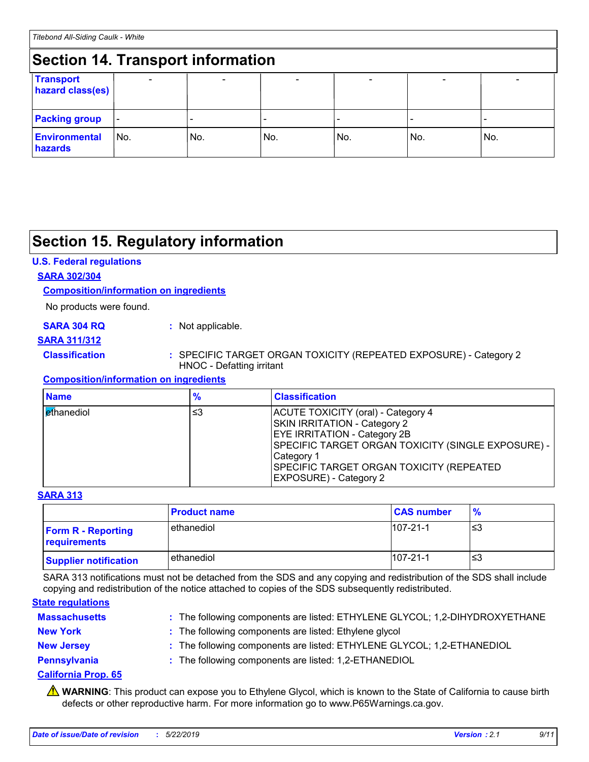#### **Section 14. Transport information** - - - - - - **Transport hazard class(es) Packing group Environmental hazards** No. No. No. - No. - No. - No.

# **Section 15. Regulatory information**

#### **U.S. Federal regulations**

#### **SARA 302/304**

#### **Composition/information on ingredients**

No products were found.

#### **SARA 304 RQ :** Not applicable.

#### **SARA 311/312**

#### **Classification :** SPECIFIC TARGET ORGAN TOXICITY (REPEATED EXPOSURE) - Category 2 HNOC - Defatting irritant

#### **Composition/information on ingredients**

| <b>Name</b>                | $\frac{9}{6}$ | <b>Classification</b>                                                                                                                                                                                                                                             |
|----------------------------|---------------|-------------------------------------------------------------------------------------------------------------------------------------------------------------------------------------------------------------------------------------------------------------------|
| l <mark>et</mark> hanediol | ≤3            | ACUTE TOXICITY (oral) - Category 4<br><b>SKIN IRRITATION - Category 2</b><br><b>EYE IRRITATION - Category 2B</b><br>SPECIFIC TARGET ORGAN TOXICITY (SINGLE EXPOSURE) -<br>Category 1<br>SPECIFIC TARGET ORGAN TOXICITY (REPEATED<br><b>EXPOSURE) - Category 2</b> |

#### **SARA 313**

|                                           | <b>Product name</b> | <b>CAS number</b> | $\frac{9}{6}$ |
|-------------------------------------------|---------------------|-------------------|---------------|
| <b>Form R - Reporting</b><br>requirements | ethanediol          | $107 - 21 - 1$    | ו≥ו           |
| <b>Supplier notification</b>              | ethanediol          | $107 - 21 - 1$    | '≤3           |

SARA 313 notifications must not be detached from the SDS and any copying and redistribution of the SDS shall include copying and redistribution of the notice attached to copies of the SDS subsequently redistributed.

#### **State regulations**

| <b>Massachusetts</b> | : The following components are listed: ETHYLENE GLYCOL; 1,2-DIHYDROXYETHANE |
|----------------------|-----------------------------------------------------------------------------|
| <b>New York</b>      | : The following components are listed: Ethylene glycol                      |
| <b>New Jersey</b>    | : The following components are listed: ETHYLENE GLYCOL; 1,2-ETHANEDIOL      |
| Pennsylvania         | : The following components are listed: 1,2-ETHANEDIOL                       |

#### **California Prop. 65**

**A** WARNING: This product can expose you to Ethylene Glycol, which is known to the State of California to cause birth defects or other reproductive harm. For more information go to www.P65Warnings.ca.gov.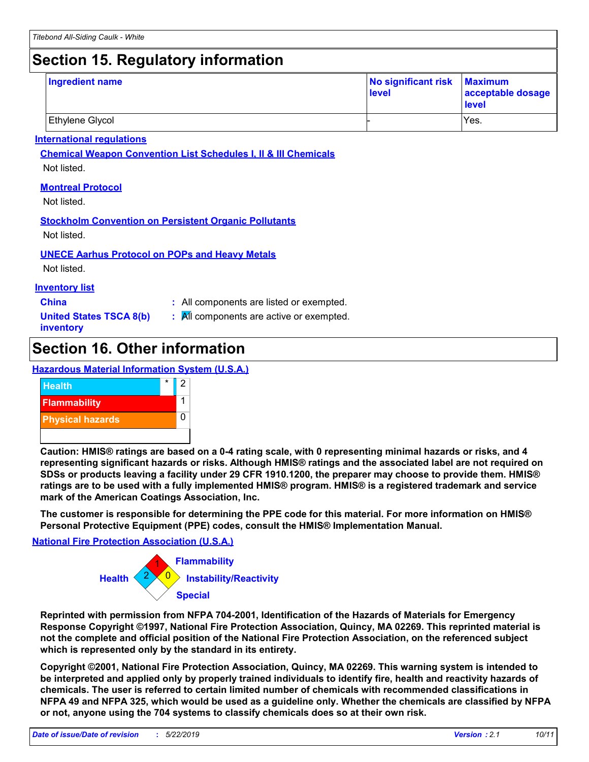# **Section 15. Regulatory information**

| <b>Ingredient name</b> | No significant risk Maximum<br>level | acceptable dosage<br><b>level</b> |
|------------------------|--------------------------------------|-----------------------------------|
| Ethylene Glycol        |                                      | Yes.                              |

#### **International regulations**

**Chemical Weapon Convention List Schedules I, II & III Chemicals**

Not listed.

#### **Montreal Protocol**

Not listed.

#### **Stockholm Convention on Persistent Organic Pollutants**

Not listed.

#### **UNECE Aarhus Protocol on POPs and Heavy Metals**

Not listed.

#### **Inventory list**

- **China :** All components are listed or exempted.
- **United States TSCA 8(b) inventory**
- **:** All components are active or exempted.

# **Section 16. Other information**

#### **Hazardous Material Information System (U.S.A.)**



**Caution: HMIS® ratings are based on a 0-4 rating scale, with 0 representing minimal hazards or risks, and 4 representing significant hazards or risks. Although HMIS® ratings and the associated label are not required on SDSs or products leaving a facility under 29 CFR 1910.1200, the preparer may choose to provide them. HMIS® ratings are to be used with a fully implemented HMIS® program. HMIS® is a registered trademark and service mark of the American Coatings Association, Inc.**

**The customer is responsible for determining the PPE code for this material. For more information on HMIS® Personal Protective Equipment (PPE) codes, consult the HMIS® Implementation Manual.**

#### **National Fire Protection Association (U.S.A.)**



**Reprinted with permission from NFPA 704-2001, Identification of the Hazards of Materials for Emergency Response Copyright ©1997, National Fire Protection Association, Quincy, MA 02269. This reprinted material is not the complete and official position of the National Fire Protection Association, on the referenced subject which is represented only by the standard in its entirety.**

**Copyright ©2001, National Fire Protection Association, Quincy, MA 02269. This warning system is intended to be interpreted and applied only by properly trained individuals to identify fire, health and reactivity hazards of chemicals. The user is referred to certain limited number of chemicals with recommended classifications in NFPA 49 and NFPA 325, which would be used as a guideline only. Whether the chemicals are classified by NFPA or not, anyone using the 704 systems to classify chemicals does so at their own risk.**